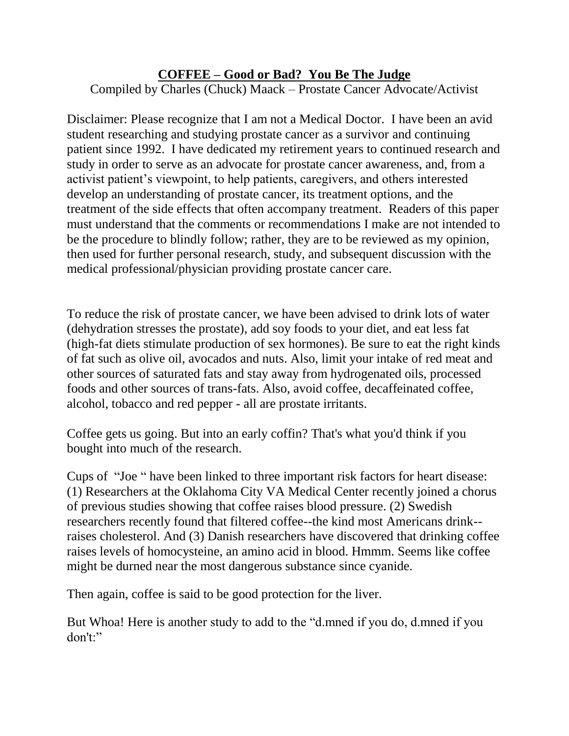## **COFFEE – Good or Bad? You Be The Judge**

Compiled by Charles (Chuck) Maack – Prostate Cancer Advocate/Activist

Disclaimer: Please recognize that I am not a Medical Doctor. I have been an avid student researching and studying prostate cancer as a survivor and continuing patient since 1992. I have dedicated my retirement years to continued research and study in order to serve as an advocate for prostate cancer awareness, and, from a activist patient's viewpoint, to help patients, caregivers, and others interested develop an understanding of prostate cancer, its treatment options, and the treatment of the side effects that often accompany treatment. Readers of this paper must understand that the comments or recommendations I make are not intended to be the procedure to blindly follow; rather, they are to be reviewed as my opinion, then used for further personal research, study, and subsequent discussion with the medical professional/physician providing prostate cancer care.

To reduce the risk of prostate cancer, we have been advised to drink lots of water (dehydration stresses the prostate), add soy foods to your diet, and eat less fat (high-fat diets stimulate production of sex hormones). Be sure to eat the right kinds of fat such as olive oil, avocados and nuts. Also, limit your intake of red meat and other sources of saturated fats and stay away from hydrogenated oils, processed foods and other sources of trans-fats. Also, avoid coffee, decaffeinated coffee, alcohol, tobacco and red pepper - all are prostate irritants.

Coffee gets us going. But into an early coffin? That's what you'd think if you bought into much of the research.

Cups of "Joe " have been linked to three important risk factors for heart disease: (1) Researchers at the Oklahoma City VA Medical Center recently joined a chorus of previous studies showing that coffee raises blood pressure. (2) Swedish researchers recently found that filtered coffee--the kind most Americans drink- raises cholesterol. And (3) Danish researchers have discovered that drinking coffee raises levels of homocysteine, an amino acid in blood. Hmmm. Seems like coffee might be durned near the most dangerous substance since cyanide.

Then again, coffee is said to be good protection for the liver.

But Whoa! Here is another study to add to the "d.mned if you do, d.mned if you don't:"